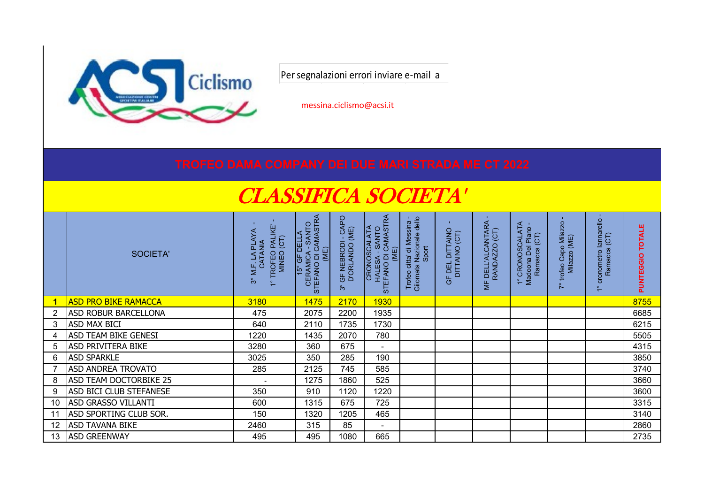

Per segnalazioni errori inviare e-mail a

messina.ciclismo@acsi.it

## CLASSIFICA SOCIETA'

|    | SOCIETA'                       | TROFEO PALIKE'<br>MINEO (CT)<br><b>PLAYA</b><br>CATANIA<br>M.F.<br>ကိ | CERAMICA - SANTO<br>STEFANO DI CAMASTRA<br><u>DELI</u><br>(ME)<br>$\overline{15^{\circ} \text{GF}}$ | CAPO<br>GF NEBRODI - CA<br>D'ORLANDO (ME)<br>$\overset{\circ}{\mathfrak{S}}$ | HALESA - SANTO<br>STEFANO DI CAMASTRA<br>CRONOSCALATA<br>(ME) | Trofeo citta' di Messina -<br>Giiornata Nazionale dello<br>Sport<br>Giiornata | F DEL DITTAINO<br>DITTAINO (CT)<br>5 | DELL'ALCANTARA<br>RANDAZZO (CT)<br>$\equiv$ | 1° CRONOSCALATA<br>Madoona Del Piano<br>Ramacca (CT)<br>Ramacca | feo Capo Milazzo<br>Milazzo (ME)<br>Capo<br>trofeo<br>$\overline{\phantom{0}}$ | lannarello<br>Ramacca (CT)<br>cronometro<br>$\circ$<br>$\overline{\phantom{0}}$ | ш<br><b>TOTAL</b><br>PUNTEGGIO |
|----|--------------------------------|-----------------------------------------------------------------------|-----------------------------------------------------------------------------------------------------|------------------------------------------------------------------------------|---------------------------------------------------------------|-------------------------------------------------------------------------------|--------------------------------------|---------------------------------------------|-----------------------------------------------------------------|--------------------------------------------------------------------------------|---------------------------------------------------------------------------------|--------------------------------|
|    | <b>ASD PRO BIKE RAMACCA</b>    | 3180                                                                  | 1475                                                                                                | 2170                                                                         | <b>1930</b>                                                   |                                                                               |                                      |                                             |                                                                 |                                                                                |                                                                                 | 8755                           |
| 2  | <b>ASD ROBUR BARCELLONA</b>    | 475                                                                   | 2075                                                                                                | 2200                                                                         | 1935                                                          |                                                                               |                                      |                                             |                                                                 |                                                                                |                                                                                 | 6685                           |
| 3  | <b>ASD MAX BICI</b>            | 640                                                                   | 2110                                                                                                | 1735                                                                         | 1730                                                          |                                                                               |                                      |                                             |                                                                 |                                                                                |                                                                                 | 6215                           |
| 4  | ASD TEAM BIKE GENESI           | 1220                                                                  | 1435                                                                                                | 2070                                                                         | 780                                                           |                                                                               |                                      |                                             |                                                                 |                                                                                |                                                                                 | 5505                           |
| 5  | <b>ASD PRIVITERA BIKE</b>      | 3280                                                                  | 360                                                                                                 | 675                                                                          | $\blacksquare$                                                |                                                                               |                                      |                                             |                                                                 |                                                                                |                                                                                 | 4315                           |
| 6  | <b>ASD SPARKLE</b>             | 3025                                                                  | 350                                                                                                 | 285                                                                          | 190                                                           |                                                                               |                                      |                                             |                                                                 |                                                                                |                                                                                 | 3850                           |
|    | <b>ASD ANDREA TROVATO</b>      | 285                                                                   | 2125                                                                                                | 745                                                                          | 585                                                           |                                                                               |                                      |                                             |                                                                 |                                                                                |                                                                                 | 3740                           |
| 8  | <b>ASD TEAM DOCTORBIKE 25</b>  |                                                                       | 1275                                                                                                | 1860                                                                         | 525                                                           |                                                                               |                                      |                                             |                                                                 |                                                                                |                                                                                 | 3660                           |
| 9  | <b>ASD BICI CLUB STEFANESE</b> | 350                                                                   | 910                                                                                                 | 1120                                                                         | 1220                                                          |                                                                               |                                      |                                             |                                                                 |                                                                                |                                                                                 | 3600                           |
| 10 | <b>ASD GRASSO VILLANTI</b>     | 600                                                                   | 1315                                                                                                | 675                                                                          | 725                                                           |                                                                               |                                      |                                             |                                                                 |                                                                                |                                                                                 | 3315                           |
| 11 | ASD SPORTING CLUB SOR.         | 150                                                                   | 1320                                                                                                | 1205                                                                         | 465                                                           |                                                                               |                                      |                                             |                                                                 |                                                                                |                                                                                 | 3140                           |
| 12 | <b>ASD TAVANA BIKE</b>         | 2460                                                                  | 315                                                                                                 | 85                                                                           | $\overline{\phantom{a}}$                                      |                                                                               |                                      |                                             |                                                                 |                                                                                |                                                                                 | 2860                           |
| 13 | <b>ASD GREENWAY</b>            | 495                                                                   | 495                                                                                                 | 1080                                                                         | 665                                                           |                                                                               |                                      |                                             |                                                                 |                                                                                |                                                                                 | 2735                           |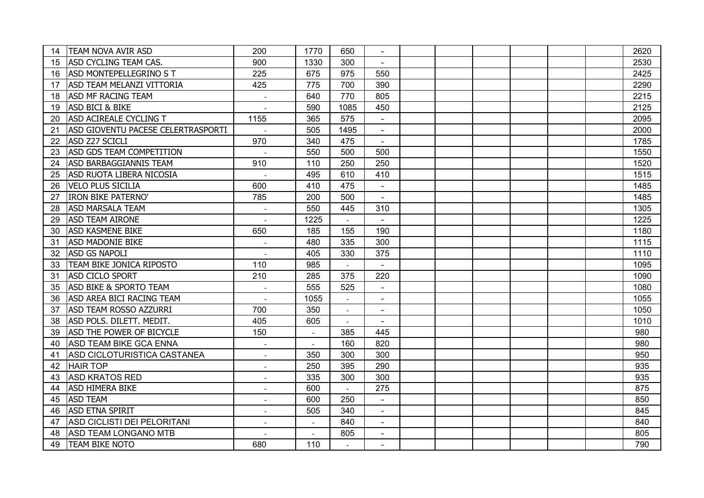| 14 | <b>TEAM NOVA AVIR ASD</b>          | 200                         | 1770                     | 650            |                |  |  |  | 2620 |
|----|------------------------------------|-----------------------------|--------------------------|----------------|----------------|--|--|--|------|
| 15 | <b>ASD CYCLING TEAM CAS.</b>       | 900                         | 1330                     | 300            |                |  |  |  | 2530 |
| 16 | <b>ASD MONTEPELLEGRINO S T</b>     | 225                         | 675                      | 975            | 550            |  |  |  | 2425 |
| 17 | <b>ASD TEAM MELANZI VITTORIA</b>   | 425                         | 775                      | 700            | 390            |  |  |  | 2290 |
| 18 | <b>ASD MF RACING TEAM</b>          | $\mathcal{L}_{\mathcal{A}}$ | 640                      | 770            | 805            |  |  |  | 2215 |
| 19 | <b>ASD BICI &amp; BIKE</b>         |                             | 590                      | 1085           | 450            |  |  |  | 2125 |
| 20 | ASD ACIREALE CYCLING T             | 1155                        | 365                      | 575            | $\blacksquare$ |  |  |  | 2095 |
| 21 | ASD GIOVENTU PACESE CELERTRASPORTI |                             | 505                      | 1495           | $\Delta$       |  |  |  | 2000 |
| 22 | ASD Z27 SCICLI                     | 970                         | 340                      | 475            | $\blacksquare$ |  |  |  | 1785 |
| 23 | ASD GDS TEAM COMPETITION           | $\sim$                      | 550                      | 500            | 500            |  |  |  | 1550 |
| 24 | <b>ASD BARBAGGIANNIS TEAM</b>      | 910                         | 110                      | 250            | 250            |  |  |  | 1520 |
| 25 | <b>ASD RUOTA LIBERA NICOSIA</b>    |                             | 495                      | 610            | 410            |  |  |  | 1515 |
| 26 | <b>VELO PLUS SICILIA</b>           | 600                         | 410                      | 475            | $\blacksquare$ |  |  |  | 1485 |
| 27 | <b>IRON BIKE PATERNO'</b>          | 785                         | 200                      | 500            | $\blacksquare$ |  |  |  | 1485 |
| 28 | <b>ASD MARSALA TEAM</b>            |                             | 550                      | 445            | 310            |  |  |  | 1305 |
| 29 | <b>ASD TEAM AIRONE</b>             |                             | 1225                     |                |                |  |  |  | 1225 |
| 30 | <b>ASD KASMENE BIKE</b>            | 650                         | 185                      | 155            | 190            |  |  |  | 1180 |
| 31 | <b>ASD MADONIE BIKE</b>            | $\overline{\phantom{a}}$    | 480                      | 335            | 300            |  |  |  | 1115 |
| 32 | <b>ASD GS NAPOLI</b>               | $\overline{\phantom{a}}$    | 405                      | 330            | 375            |  |  |  | 1110 |
| 33 | TEAM BIKE JONICA RIPOSTO           | 110                         | 985                      | $\overline{a}$ | $\blacksquare$ |  |  |  | 1095 |
| 31 | <b>ASD CICLO SPORT</b>             | 210                         | 285                      | 375            | 220            |  |  |  | 1090 |
| 35 | <b>ASD BIKE &amp; SPORTO TEAM</b>  |                             | 555                      | 525            | $\mathbf{r}$   |  |  |  | 1080 |
| 36 | ASD AREA BICI RACING TEAM          |                             | 1055                     |                | $\blacksquare$ |  |  |  | 1055 |
| 37 | <b>ASD TEAM ROSSO AZZURRI</b>      | 700                         | 350                      |                |                |  |  |  | 1050 |
| 38 | ASD POLS. DILETT. MEDIT.           | 405                         | 605                      | $\sim$         |                |  |  |  | 1010 |
| 39 | <b>ASD THE POWER OF BICYCLE</b>    | 150                         | $\overline{\phantom{a}}$ | 385            | 445            |  |  |  | 980  |
| 40 | <b>ASD TEAM BIKE GCA ENNA</b>      |                             |                          | 160            | 820            |  |  |  | 980  |
| 41 | ASD CICLOTURISTICA CASTANEA        |                             | 350                      | 300            | 300            |  |  |  | 950  |
| 42 | <b>HAIR TOP</b>                    |                             | 250                      | 395            | 290            |  |  |  | 935  |
| 43 | <b>ASD KRATOS RED</b>              | $\overline{\phantom{a}}$    | 335                      | 300            | 300            |  |  |  | 935  |
| 44 | <b>ASD HIMERA BIKE</b>             | $\overline{\phantom{a}}$    | 600                      |                | 275            |  |  |  | 875  |
| 45 | <b>ASD TEAM</b>                    | $\sim$                      | 600                      | 250            | $\blacksquare$ |  |  |  | 850  |
| 46 | <b>ASD ETNA SPIRIT</b>             | $\overline{\phantom{a}}$    | 505                      | 340            | $\blacksquare$ |  |  |  | 845  |
| 47 | ASD CICLISTI DEI PELORITANI        | $\overline{\phantom{a}}$    | $\overline{\phantom{a}}$ | 840            | $\blacksquare$ |  |  |  | 840  |
| 48 | <b>ASD TEAM LONGANO MTB</b>        |                             |                          | 805            | $\blacksquare$ |  |  |  | 805  |
| 49 | <b>TEAM BIKE NOTO</b>              | 680                         | 110                      |                |                |  |  |  | 790  |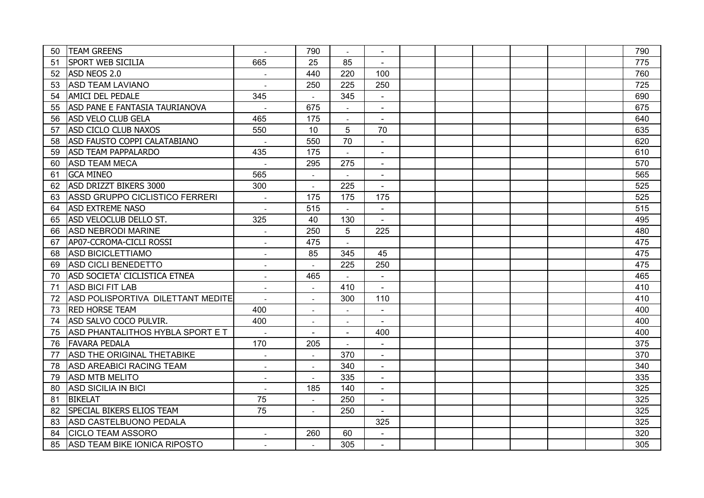| 50 | <b>TEAM GREENS</b>                |                          | 790                      |                |                |  |  |  | 790 |
|----|-----------------------------------|--------------------------|--------------------------|----------------|----------------|--|--|--|-----|
| 51 | <b>SPORT WEB SICILIA</b>          | 665                      | 25                       | 85             | $\blacksquare$ |  |  |  | 775 |
| 52 | ASD NEOS 2.0                      | $\overline{\phantom{a}}$ | 440                      | 220            | 100            |  |  |  | 760 |
| 53 | <b>ASD TEAM LAVIANO</b>           | $\overline{a}$           | 250                      | 225            | 250            |  |  |  | 725 |
| 54 | <b>AMICI DEL PEDALE</b>           | 345                      | $\overline{\phantom{a}}$ | 345            | $\blacksquare$ |  |  |  | 690 |
| 55 | ASD PANE E FANTASIA TAURIANOVA    | $\sim$                   | 675                      |                | $\blacksquare$ |  |  |  | 675 |
| 56 | <b>ASD VELO CLUB GELA</b>         | 465                      | 175                      |                | $\blacksquare$ |  |  |  | 640 |
| 57 | ASD CICLO CLUB NAXOS              | 550                      | 10                       | 5              | 70             |  |  |  | 635 |
| 58 | ASD FAUSTO COPPI CALATABIANO      |                          | 550                      | 70             | $\blacksquare$ |  |  |  | 620 |
| 59 | <b>ASD TEAM PAPPALARDO</b>        | 435                      | 175                      |                | $\blacksquare$ |  |  |  | 610 |
| 60 | <b>ASD TEAM MECA</b>              |                          | 295                      | 275            | $\blacksquare$ |  |  |  | 570 |
| 61 | <b>GCA MINEO</b>                  | 565                      |                          |                | $\sim$         |  |  |  | 565 |
| 62 | ASD DRIZZT BIKERS 3000            | 300                      |                          | 225            | $\blacksquare$ |  |  |  | 525 |
| 63 | ASSD GRUPPO CICLISTICO FERRERI    |                          | 175                      | 175            | 175            |  |  |  | 525 |
| 64 | <b>ASD EXTREME NASO</b>           |                          | 515                      |                | $\blacksquare$ |  |  |  | 515 |
| 65 | ASD VELOCLUB DELLO ST.            | 325                      | 40                       | 130            | $\blacksquare$ |  |  |  | 495 |
| 66 | <b>ASD NEBRODI MARINE</b>         | $\overline{\phantom{a}}$ | 250                      | 5              | 225            |  |  |  | 480 |
| 67 | AP07-CCROMA-CICLI ROSSI           | $\overline{\phantom{a}}$ | 475                      | $\sim$         |                |  |  |  | 475 |
| 68 | <b>ASD BICICLETTIAMO</b>          | $\blacksquare$           | 85                       | 345            | 45             |  |  |  | 475 |
| 69 | ASD CICLI BENEDETTO               |                          |                          | 225            | 250            |  |  |  | 475 |
| 70 | ASD SOCIETA' CICLISTICA ETNEA     |                          | 465                      |                | $\blacksquare$ |  |  |  | 465 |
| 71 | ASD BICI FIT LAB                  |                          |                          | 410            | $\mathbf{r}$   |  |  |  | 410 |
| 72 | ASD POLISPORTIVA DILETTANT MEDITE |                          |                          | 300            | 110            |  |  |  | 410 |
| 73 | <b>RED HORSE TEAM</b>             | 400                      | $\overline{\phantom{a}}$ |                | $\blacksquare$ |  |  |  | 400 |
| 74 | ASD SALVO COCO PULVIR.            | 400                      | $\overline{\phantom{a}}$ | $\overline{a}$ | $\blacksquare$ |  |  |  | 400 |
| 75 | ASD PHANTALITHOS HYBLA SPORT E T  | $\sim$                   | $\sim$                   | $\sim$         | 400            |  |  |  | 400 |
| 76 | <b>FAVARA PEDALA</b>              | 170                      | 205                      |                | $\blacksquare$ |  |  |  | 375 |
| 77 | ASD THE ORIGINAL THETABIKE        |                          |                          | 370            | $\blacksquare$ |  |  |  | 370 |
| 78 | <b>ASD AREABICI RACING TEAM</b>   | $\overline{\phantom{a}}$ |                          | 340            |                |  |  |  | 340 |
| 79 | <b>ASD MTB MELITO</b>             | $\overline{\phantom{a}}$ |                          | 335            |                |  |  |  | 335 |
| 80 | <b>ASD SICILIA IN BICI</b>        | $\overline{\phantom{a}}$ | 185                      | 140            |                |  |  |  | 325 |
| 81 | <b>BIKELAT</b>                    | 75                       | $\overline{\phantom{a}}$ | 250            | $\blacksquare$ |  |  |  | 325 |
| 82 | <b>SPECIAL BIKERS ELIOS TEAM</b>  | 75                       | $\overline{\phantom{a}}$ | 250            | $\sim$         |  |  |  | 325 |
| 83 | ASD CASTELBUONO PEDALA            |                          |                          |                | 325            |  |  |  | 325 |
| 84 | <b>CICLO TEAM ASSORO</b>          |                          | 260                      | 60             | $\blacksquare$ |  |  |  | 320 |
| 85 | ASD TEAM BIKE IONICA RIPOSTO      | $\overline{a}$           |                          | 305            | $\overline{a}$ |  |  |  | 305 |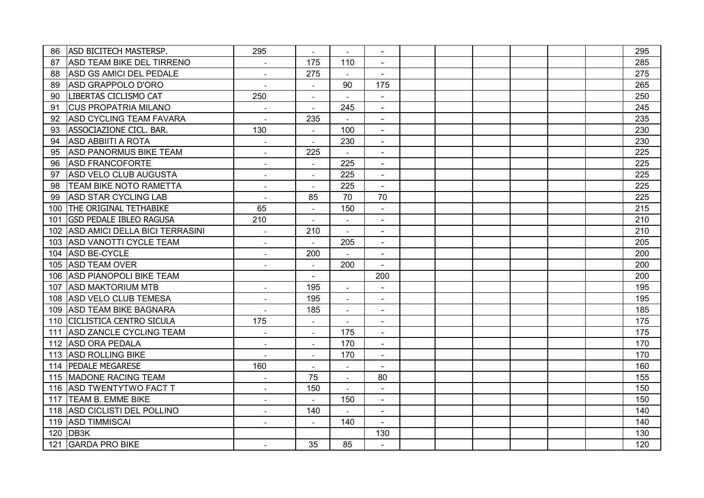| 86  | <b>ASD BICITECH MASTERSP.</b>    | 295                         | $\overline{\phantom{a}}$ |                          |                          |  |  |  | 295 |
|-----|----------------------------------|-----------------------------|--------------------------|--------------------------|--------------------------|--|--|--|-----|
| 87  | <b>ASD TEAM BIKE DEL TIRRENO</b> | $\overline{\phantom{a}}$    | 175                      | 110                      | $\blacksquare$           |  |  |  | 285 |
| 88  | ASD GS AMICI DEL PEDALE          | $\sim$                      | 275                      | $\sim$                   | $\blacksquare$           |  |  |  | 275 |
| 89  | ASD GRAPPOLO D'ORO               | $\overline{a}$              | $\blacksquare$           | 90                       | 175                      |  |  |  | 265 |
| 90  | LIBERTAS CICLISMO CAT            | 250                         | $\blacksquare$           |                          | $\blacksquare$           |  |  |  | 250 |
| 91  | <b>CUS PROPATRIA MILANO</b>      |                             | $\overline{a}$           | 245                      | $\blacksquare$           |  |  |  | 245 |
| 92  | <b>ASD CYCLING TEAM FAVARA</b>   |                             | 235                      |                          | $\blacksquare$           |  |  |  | 235 |
| 93  | ASSOCIAZIONE CICL. BAR.          | 130                         | $\overline{\phantom{a}}$ | 100                      | $\blacksquare$           |  |  |  | 230 |
| 94  | <b>ASD ABBIITI A ROTA</b>        |                             | $\overline{\phantom{a}}$ | 230                      | $\blacksquare$           |  |  |  | 230 |
| 95  | <b>ASD PANORMUS BIKE TEAM</b>    | $\overline{a}$              | 225                      |                          | $\blacksquare$           |  |  |  | 225 |
| 96  | <b>ASD FRANCOFORTE</b>           | $\overline{a}$              |                          | 225                      | $\blacksquare$           |  |  |  | 225 |
| 97  | ASD VELO CLUB AUGUSTA            |                             |                          | 225                      | $\blacksquare$           |  |  |  | 225 |
| 98  | <b>TEAM BIKE NOTO RAMETTA</b>    |                             |                          | 225                      |                          |  |  |  | 225 |
| 99  | <b>ASD STAR CYCLING LAB</b>      |                             | 85                       | 70                       | 70                       |  |  |  | 225 |
| 100 | <b>THE ORIGINAL TETHABIKE</b>    | 65                          | $\overline{\phantom{a}}$ | 150                      | $\blacksquare$           |  |  |  | 215 |
| 101 | <b>GSD PEDALE IBLEO RAGUSA</b>   | 210                         | $\overline{\phantom{a}}$ | $\sim$                   | $\blacksquare$           |  |  |  | 210 |
| 102 | ASD AMICI DELLA BICI TERRASINI   | $\overline{\phantom{a}}$    | 210                      | $\overline{\phantom{a}}$ | $\blacksquare$           |  |  |  | 210 |
| 103 | <b>ASD VANOTTI CYCLE TEAM</b>    | $\overline{a}$              | $\sim$                   | 205                      | $\blacksquare$           |  |  |  | 205 |
| 104 | ASD BE-CYCLE                     | $\overline{a}$              | 200                      |                          | $\blacksquare$           |  |  |  | 200 |
| 105 | <b>ASD TEAM OVER</b>             |                             | $\overline{\phantom{a}}$ | 200                      | $\blacksquare$           |  |  |  | 200 |
|     | 106 ASD PIANOPOLI BIKE TEAM      |                             | $\blacksquare$           |                          | 200                      |  |  |  | 200 |
| 107 | <b>ASD MAKTORIUM MTB</b>         |                             | 195                      |                          |                          |  |  |  | 195 |
|     | 108 ASD VELO CLUB TEMESA         |                             | 195                      | $\sim$                   | $\overline{\phantom{a}}$ |  |  |  | 195 |
|     | 109 ASD TEAM BIKE BAGNARA        |                             | 185                      |                          | $\blacksquare$           |  |  |  | 185 |
|     | 110 CICLISTICA CENTRO SICULA     | 175                         | $\blacksquare$           |                          | $\sim$                   |  |  |  | 175 |
| 111 | ASD ZANCLE CYCLING TEAM          |                             |                          | 175                      | $\blacksquare$           |  |  |  | 175 |
| 112 | <b>ASD ORA PEDALA</b>            |                             |                          | 170                      |                          |  |  |  | 170 |
| 113 | <b>ASD ROLLING BIKE</b>          |                             |                          | 170                      | $\blacksquare$           |  |  |  | 170 |
| 114 | <b>PEDALE MEGARESE</b>           | 160                         | $\overline{\phantom{a}}$ |                          |                          |  |  |  | 160 |
| 115 | MADONE RACING TEAM               | $\overline{\phantom{a}}$    | 75                       | $\blacksquare$           | 80                       |  |  |  | 155 |
| 116 | <b>ASD TWENTYTWO FACT T</b>      | $\overline{\phantom{a}}$    | 150                      | $\overline{\phantom{a}}$ | $\blacksquare$           |  |  |  | 150 |
| 117 | <b>TEAM B. EMME BIKE</b>         | $\sim$                      | $\blacksquare$           | 150                      | $\blacksquare$           |  |  |  | 150 |
| 118 | ASD CICLISTI DEL POLLINO         | $\mathcal{L}_{\mathcal{A}}$ | 140                      |                          | $\blacksquare$           |  |  |  | 140 |
| 119 | <b>ASD TIMMISCAI</b>             |                             |                          | 140                      | $\blacksquare$           |  |  |  | 140 |
| 120 | DB <sub>3</sub> K                |                             |                          |                          | 130                      |  |  |  | 130 |
| 121 | <b>GARDA PRO BIKE</b>            |                             | 35                       | 85                       |                          |  |  |  | 120 |